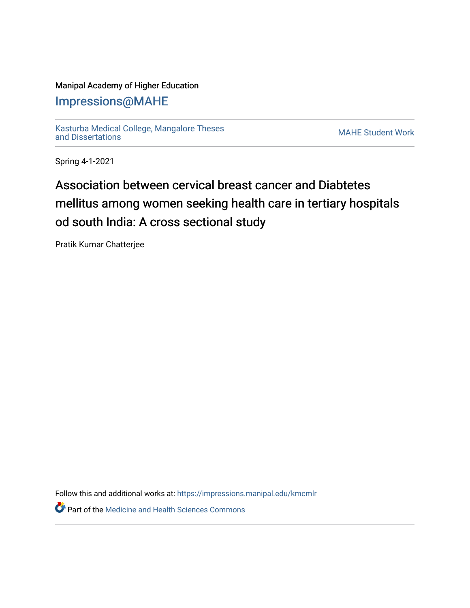## Manipal Academy of Higher Education

## [Impressions@MAHE](https://impressions.manipal.edu/)

[Kasturba Medical College, Mangalore Theses](https://impressions.manipal.edu/kmcmlr) [and Dissertations](https://impressions.manipal.edu/kmcmlr) [MAHE Student Work](https://impressions.manipal.edu/student-work) 

Spring 4-1-2021

## Association between cervical breast cancer and Diabtetes mellitus among women seeking health care in tertiary hospitals od south India: A cross sectional study

Pratik Kumar Chatterjee

Follow this and additional works at: [https://impressions.manipal.edu/kmcmlr](https://impressions.manipal.edu/kmcmlr?utm_source=impressions.manipal.edu%2Fkmcmlr%2F44&utm_medium=PDF&utm_campaign=PDFCoverPages) 

*O* Part of the Medicine and Health Sciences Commons